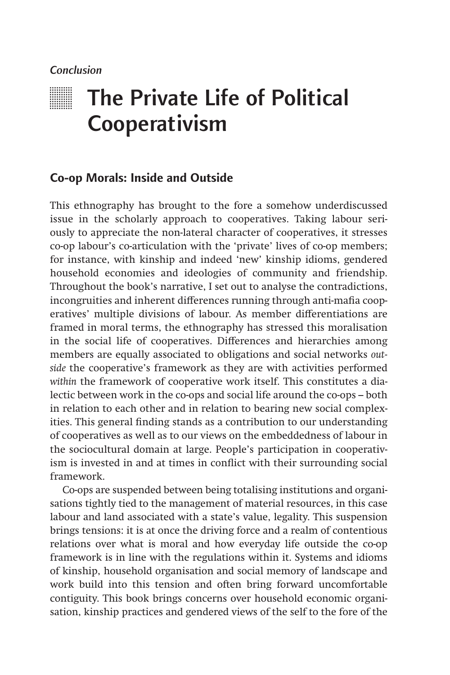### *Conclusion*

# **The Private Life of Political** Cooperativism

### **Co-op Morals: Inside and Outside**

This ethnography has brought to the fore a somehow underdiscussed issue in the scholarly approach to cooperatives. Taking labour seriously to appreciate the non-lateral character of cooperatives, it stresses co-op labour's co-articulation with the 'private' lives of co-op members; for instance, with kinship and indeed 'new' kinship idioms, gendered household economies and ideologies of community and friendship. Throughout the book's narrative, I set out to analyse the contradictions, incongruities and inherent differences running through anti-mafia cooperatives' multiple divisions of labour. As member differentiations are framed in moral terms, the ethnography has stressed this moralisation in the social life of cooperatives. Differences and hierarchies among members are equally associated to obligations and social networks *outside* the cooperative's framework as they are with activities performed *within* the framework of cooperative work itself. This constitutes a dialectic between work in the co-ops and social life around the co-ops – both in relation to each other and in relation to bearing new social complexities. This general finding stands as a contribution to our understanding of cooperatives as well as to our views on the embeddedness of labour in the sociocultural domain at large. People's participation in cooperativism is invested in and at times in conflict with their surrounding social framework.

Co-ops are suspended between being totalising institutions and organisations tightly tied to the management of material resources, in this case labour and land associated with a state's value, legality. This suspension brings tensions: it is at once the driving force and a realm of contentious relations over what is moral and how everyday life outside the co-op framework is in line with the regulations within it. Systems and idioms of kinship, household organisation and social memory of landscape and work build into this tension and often bring forward uncomfortable contiguity. This book brings concerns over household economic organisation, kinship practices and gendered views of the self to the fore of the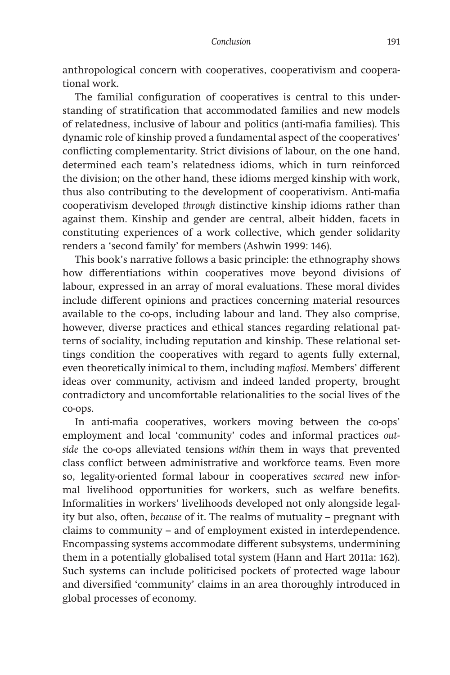anthropological concern with cooperatives, cooperativism and cooperational work.

The familial configuration of cooperatives is central to this understanding of stratification that accommodated families and new models of relatedness, inclusive of labour and politics (anti-mafia families). This dynamic role of kinship proved a fundamental aspect of the cooperatives' conflicting complementarity. Strict divisions of labour, on the one hand, determined each team's relatedness idioms, which in turn reinforced the division; on the other hand, these idioms merged kinship with work, thus also contributing to the development of cooperativism. Anti-mafia cooperativism developed *through* distinctive kinship idioms rather than against them. Kinship and gender are central, albeit hidden, facets in constituting experiences of a work collective, which gender solidarity renders a 'second family' for members (Ashwin 1999: 146).

This book's narrative follows a basic principle: the ethnography shows how differentiations within cooperatives move beyond divisions of labour, expressed in an array of moral evaluations. These moral divides include different opinions and practices concerning material resources available to the co-ops, including labour and land. They also comprise, however, diverse practices and ethical stances regarding relational patterns of sociality, including reputation and kinship. These relational settings condition the cooperatives with regard to agents fully external, even theoretically inimical to them, including *mafiosi*. Members' different ideas over community, activism and indeed landed property, brought contradictory and uncomfortable relationalities to the social lives of the co-ops.

In anti-mafia cooperatives, workers moving between the co-ops' employment and local 'community' codes and informal practices *outside* the co-ops alleviated tensions *within* them in ways that prevented class conflict between administrative and workforce teams. Even more so, legality-oriented formal labour in cooperatives *secured* new informal livelihood opportunities for workers, such as welfare benefits. Informalities in workers' livelihoods developed not only alongside legality but also, often, *because* of it. The realms of mutuality – pregnant with claims to community – and of employment existed in interdependence. Encompassing systems accommodate different subsystems, undermining them in a potentially globalised total system (Hann and Hart 2011a: 162). Such systems can include politicised pockets of protected wage labour and diversified 'community' claims in an area thoroughly introduced in global processes of economy.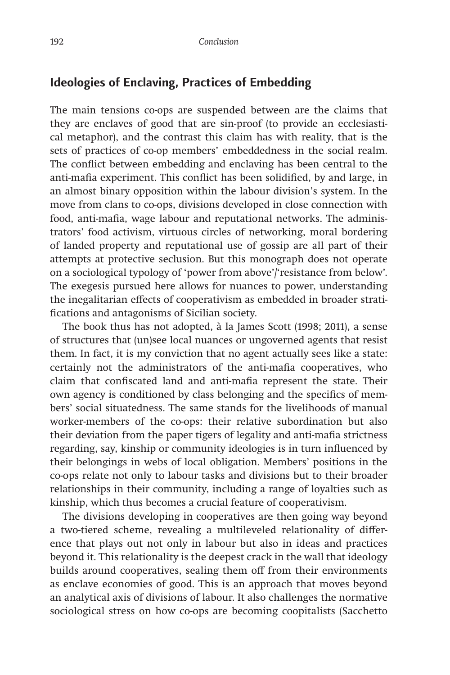## **Ideologies of Enclaving, Practices of Embedding**

The main tensions co-ops are suspended between are the claims that they are enclaves of good that are sin-proof (to provide an ecclesiastical metaphor), and the contrast this claim has with reality, that is the sets of practices of co-op members' embeddedness in the social realm. The conflict between embedding and enclaving has been central to the anti-mafia experiment. This conflict has been solidified, by and large, in an almost binary opposition within the labour division's system. In the move from clans to co-ops, divisions developed in close connection with food, anti-mafia, wage labour and reputational networks. The administrators' food activism, virtuous circles of networking, moral bordering of landed property and reputational use of gossip are all part of their attempts at protective seclusion. But this monograph does not operate on a sociological typology of 'power from above'/'resistance from below'. The exegesis pursued here allows for nuances to power, understanding the inegalitarian effects of cooperativism as embedded in broader stratifications and antagonisms of Sicilian society.

The book thus has not adopted, à la James Scott (1998; 2011), a sense of structures that (un)see local nuances or ungoverned agents that resist them. In fact, it is my conviction that no agent actually sees like a state: certainly not the administrators of the anti-mafia cooperatives, who claim that confiscated land and anti-mafia represent the state. Their own agency is conditioned by class belonging and the specifics of members' social situatedness. The same stands for the livelihoods of manual worker-members of the co-ops: their relative subordination but also their deviation from the paper tigers of legality and anti-mafia strictness regarding, say, kinship or community ideologies is in turn influenced by their belongings in webs of local obligation. Members' positions in the co-ops relate not only to labour tasks and divisions but to their broader relationships in their community, including a range of loyalties such as kinship, which thus becomes a crucial feature of cooperativism.

The divisions developing in cooperatives are then going way beyond a two-tiered scheme, revealing a multileveled relationality of difference that plays out not only in labour but also in ideas and practices beyond it. This relationality is the deepest crack in the wall that ideology builds around cooperatives, sealing them off from their environments as enclave economies of good. This is an approach that moves beyond an analytical axis of divisions of labour. It also challenges the normative sociological stress on how co-ops are becoming coopitalists (Sacchetto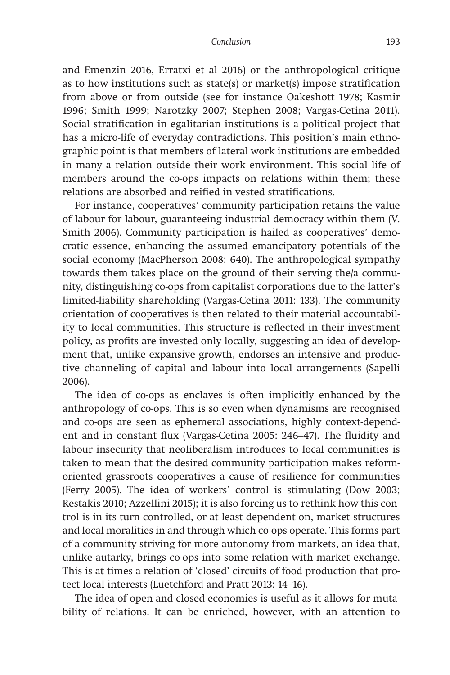and Emenzin 2016, Erratxi et al 2016) or the anthropological critique as to how institutions such as state(s) or market(s) impose stratification from above or from outside (see for instance Oakeshott 1978; Kasmir 1996; Smith 1999; Narotzky 2007; Stephen 2008; Vargas-Cetina 2011). Social stratification in egalitarian institutions is a political project that has a micro-life of everyday contradictions. This position's main ethnographic point is that members of lateral work institutions are embedded in many a relation outside their work environment. This social life of members around the co-ops impacts on relations within them; these relations are absorbed and reified in vested stratifications.

For instance, cooperatives' community participation retains the value of labour for labour, guaranteeing industrial democracy within them (V. Smith 2006). Community participation is hailed as cooperatives' democratic essence, enhancing the assumed emancipatory potentials of the social economy (MacPherson 2008: 640). The anthropological sympathy towards them takes place on the ground of their serving the/a community, distinguishing co-ops from capitalist corporations due to the latter's limited-liability shareholding (Vargas-Cetina 2011: 133). The community orientation of cooperatives is then related to their material accountability to local communities. This structure is reflected in their investment policy, as profits are invested only locally, suggesting an idea of development that, unlike expansive growth, endorses an intensive and productive channeling of capital and labour into local arrangements (Sapelli 2006).

The idea of co-ops as enclaves is often implicitly enhanced by the anthropology of co-ops. This is so even when dynamisms are recognised and co-ops are seen as ephemeral associations, highly context-dependent and in constant flux (Vargas-Cetina 2005: 246–47). The fluidity and labour insecurity that neoliberalism introduces to local communities is taken to mean that the desired community participation makes reformoriented grassroots cooperatives a cause of resilience for communities (Ferry 2005). The idea of workers' control is stimulating (Dow 2003; Restakis 2010; Azzellini 2015); it is also forcing us to rethink how this control is in its turn controlled, or at least dependent on, market structures and local moralities in and through which co-ops operate. This forms part of a community striving for more autonomy from markets, an idea that, unlike autarky, brings co-ops into some relation with market exchange. This is at times a relation of 'closed' circuits of food production that protect local interests (Luetchford and Pratt 2013: 14–16).

The idea of open and closed economies is useful as it allows for mutability of relations. It can be enriched, however, with an attention to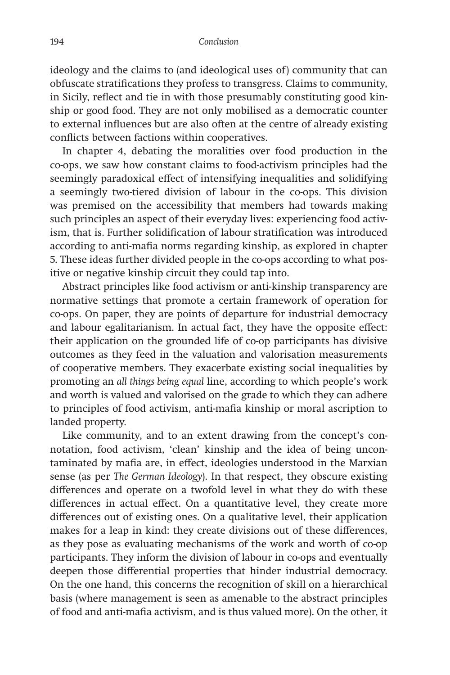ideology and the claims to (and ideological uses of) community that can obfuscate stratifications they profess to transgress. Claims to community, in Sicily, reflect and tie in with those presumably constituting good kinship or good food. They are not only mobilised as a democratic counter to external influences but are also often at the centre of already existing conflicts between factions within cooperatives.

In chapter 4, debating the moralities over food production in the co-ops, we saw how constant claims to food-activism principles had the seemingly paradoxical effect of intensifying inequalities and solidifying a seemingly two-tiered division of labour in the co-ops. This division was premised on the accessibility that members had towards making such principles an aspect of their everyday lives: experiencing food activism, that is. Further solidification of labour stratification was introduced according to anti-mafia norms regarding kinship, as explored in chapter 5. These ideas further divided people in the co-ops according to what positive or negative kinship circuit they could tap into.

Abstract principles like food activism or anti-kinship transparency are normative settings that promote a certain framework of operation for co-ops. On paper, they are points of departure for industrial democracy and labour egalitarianism. In actual fact, they have the opposite effect: their application on the grounded life of co-op participants has divisive outcomes as they feed in the valuation and valorisation measurements of cooperative members. They exacerbate existing social inequalities by promoting an *all things being equal* line, according to which people's work and worth is valued and valorised on the grade to which they can adhere to principles of food activism, anti-mafia kinship or moral ascription to landed property.

Like community, and to an extent drawing from the concept's connotation, food activism, 'clean' kinship and the idea of being uncontaminated by mafia are, in effect, ideologies understood in the Marxian sense (as per *The German Ideology*). In that respect, they obscure existing differences and operate on a twofold level in what they do with these differences in actual effect. On a quantitative level, they create more differences out of existing ones. On a qualitative level, their application makes for a leap in kind: they create divisions out of these differences, as they pose as evaluating mechanisms of the work and worth of co-op participants. They inform the division of labour in co-ops and eventually deepen those differential properties that hinder industrial democracy. On the one hand, this concerns the recognition of skill on a hierarchical basis (where management is seen as amenable to the abstract principles of food and anti-mafia activism, and is thus valued more). On the other, it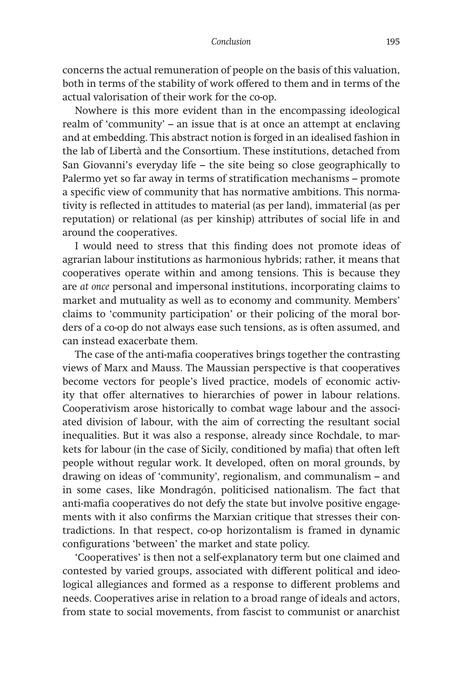concerns the actual remuneration of people on the basis of this valuation, both in terms of the stability of work offered to them and in terms of the actual valorisation of their work for the co-op.

Nowhere is this more evident than in the encompassing ideological realm of 'community' – an issue that is at once an attempt at enclaving and at embedding. This abstract notion is forged in an idealised fashion in the lab of Libertà and the Consortium. These institutions, detached from San Giovanni's everyday life – the site being so close geographically to Palermo yet so far away in terms of stratification mechanisms – promote a specific view of community that has normative ambitions. This normativity is reflected in attitudes to material (as per land), immaterial (as per reputation) or relational (as per kinship) attributes of social life in and around the cooperatives.

I would need to stress that this finding does not promote ideas of agrarian labour institutions as harmonious hybrids; rather, it means that cooperatives operate within and among tensions. This is because they are *at once* personal and impersonal institutions, incorporating claims to market and mutuality as well as to economy and community. Members' claims to 'community participation' or their policing of the moral borders of a co-op do not always ease such tensions, as is often assumed, and can instead exacerbate them.

The case of the anti-mafia cooperatives brings together the contrasting views of Marx and Mauss. The Maussian perspective is that cooperatives become vectors for people's lived practice, models of economic activity that offer alternatives to hierarchies of power in labour relations. Cooperativism arose historically to combat wage labour and the associated division of labour, with the aim of correcting the resultant social inequalities. But it was also a response, already since Rochdale, to markets for labour (in the case of Sicily, conditioned by mafia) that often left people without regular work. It developed, often on moral grounds, by drawing on ideas of 'community', regionalism, and communalism – and in some cases, like Mondragón, politicised nationalism. The fact that anti-mafia cooperatives do not defy the state but involve positive engagements with it also confirms the Marxian critique that stresses their contradictions. In that respect, co-op horizontalism is framed in dynamic configurations 'between' the market and state policy.

'Cooperatives' is then not a self-explanatory term but one claimed and contested by varied groups, associated with different political and ideological allegiances and formed as a response to different problems and needs. Cooperatives arise in relation to a broad range of ideals and actors, from state to social movements, from fascist to communist or anarchist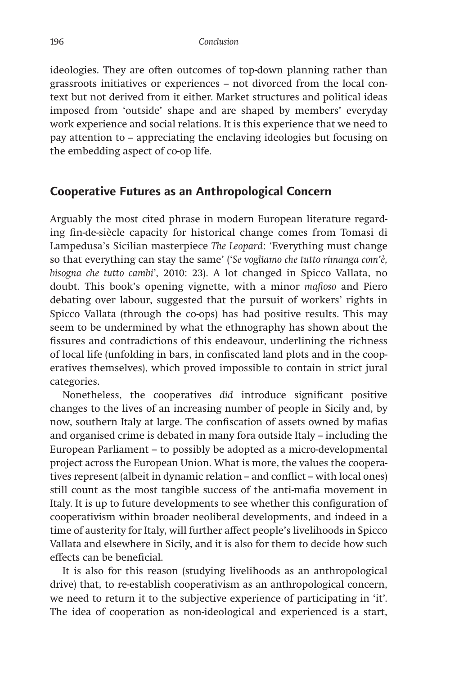ideologies. They are often outcomes of top-down planning rather than grassroots initiatives or experiences – not divorced from the local context but not derived from it either. Market structures and political ideas imposed from 'outside' shape and are shaped by members' everyday work experience and social relations. It is this experience that we need to pay attention to – appreciating the enclaving ideologies but focusing on the embedding aspect of co-op life.

### **Cooperative Futures as an Anthropological Concern**

Arguably the most cited phrase in modern European literature regarding fin-de-siècle capacity for historical change comes from Tomasi di Lampedusa's Sicilian masterpiece *The Leopard*: 'Everything must change so that everything can stay the same' ('*Se vogliamo che tutto rimanga com'è, bisogna che tutto cambi*', 2010: 23). A lot changed in Spicco Vallata, no doubt. This book's opening vignette, with a minor *mafioso* and Piero debating over labour, suggested that the pursuit of workers' rights in Spicco Vallata (through the co-ops) has had positive results. This may seem to be undermined by what the ethnography has shown about the fissures and contradictions of this endeavour, underlining the richness of local life (unfolding in bars, in confiscated land plots and in the cooperatives themselves), which proved impossible to contain in strict jural categories.

Nonetheless, the cooperatives *did* introduce significant positive changes to the lives of an increasing number of people in Sicily and, by now, southern Italy at large. The confiscation of assets owned by mafias and organised crime is debated in many fora outside Italy – including the European Parliament – to possibly be adopted as a micro-developmental project across the European Union. What is more, the values the cooperatives represent (albeit in dynamic relation – and conflict – with local ones) still count as the most tangible success of the anti-mafia movement in Italy. It is up to future developments to see whether this configuration of cooperativism within broader neoliberal developments, and indeed in a time of austerity for Italy, will further affect people's livelihoods in Spicco Vallata and elsewhere in Sicily, and it is also for them to decide how such effects can be beneficial.

It is also for this reason (studying livelihoods as an anthropological drive) that, to re-establish cooperativism as an anthropological concern, we need to return it to the subjective experience of participating in 'it'. The idea of cooperation as non-ideological and experienced is a start,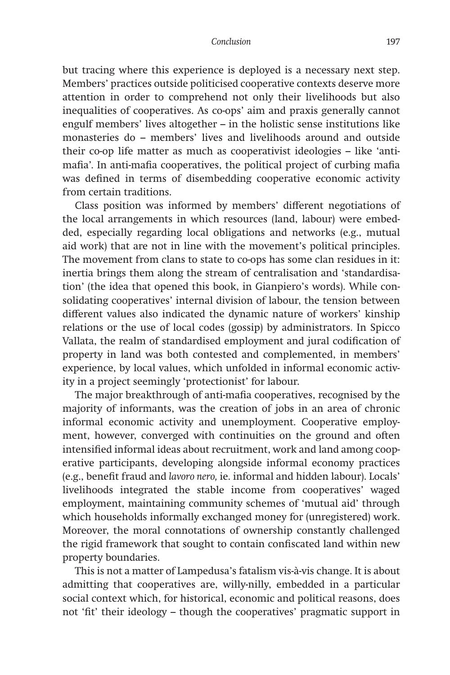but tracing where this experience is deployed is a necessary next step. Members' practices outside politicised cooperative contexts deserve more attention in order to comprehend not only their livelihoods but also inequalities of cooperatives. As co-ops' aim and praxis generally cannot engulf members' lives altogether – in the holistic sense institutions like monasteries do – members' lives and livelihoods around and outside their co-op life matter as much as cooperativist ideologies – like 'antimafia'. In anti-mafia cooperatives, the political project of curbing mafia was defined in terms of disembedding cooperative economic activity from certain traditions.

Class position was informed by members' different negotiations of the local arrangements in which resources (land, labour) were embedded, especially regarding local obligations and networks (e.g., mutual aid work) that are not in line with the movement's political principles. The movement from clans to state to co-ops has some clan residues in it: inertia brings them along the stream of centralisation and 'standardisation' (the idea that opened this book, in Gianpiero's words). While consolidating cooperatives' internal division of labour, the tension between different values also indicated the dynamic nature of workers' kinship relations or the use of local codes (gossip) by administrators. In Spicco Vallata, the realm of standardised employment and jural codification of property in land was both contested and complemented, in members' experience, by local values, which unfolded in informal economic activity in a project seemingly 'protectionist' for labour.

The major breakthrough of anti-mafia cooperatives, recognised by the majority of informants, was the creation of jobs in an area of chronic informal economic activity and unemployment. Cooperative employment, however, converged with continuities on the ground and often intensified informal ideas about recruitment, work and land among cooperative participants, developing alongside informal economy practices (e.g., benefit fraud and *lavoro nero,* ie. informal and hidden labour). Locals' livelihoods integrated the stable income from cooperatives' waged employment, maintaining community schemes of 'mutual aid' through which households informally exchanged money for (unregistered) work. Moreover, the moral connotations of ownership constantly challenged the rigid framework that sought to contain confiscated land within new property boundaries.

This is not a matter of Lampedusa's fatalism vis-à-vis change. It is about admitting that cooperatives are, willy-nilly, embedded in a particular social context which, for historical, economic and political reasons, does not 'fit' their ideology – though the cooperatives' pragmatic support in